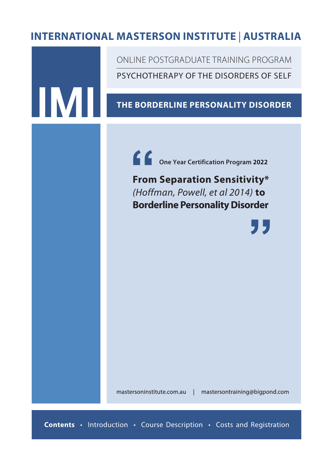# **INTERNATIONAL MASTERSON INSTITUTE** *In affiliation with* | **AUSTRALIA**

INTERNATIONAL MASTERSON INSTITUTE WEST COAST

IM

PSYCHOTHERAPY OF THE DISORDERS OF SELF ONLINE POSTGRADUATE TRAINING PROGRAM

### **THE BORDERLINE PERSONALITY DISORDER**

**One Year Certification Program 2022 f**<br>From<br>(Hoffl

**From Separation Sensitivity\***  *(Hoffman, Powell, et al 2014)* **to Borderline Personality Disorder**

**"**

mastersoninstitute.com.au | mastersontraining@bigpond.com

**Contents** • Introduction • Course Description • Costs and Registration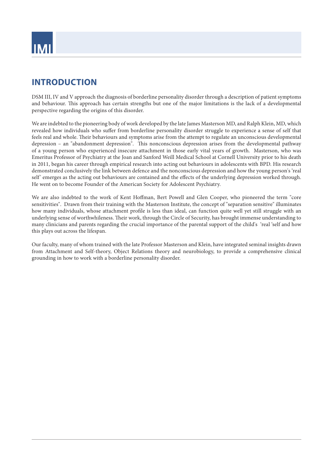

### **INTRODUCTION**

DSM III, IV and V approach the diagnosis of borderline personality disorder through a description of patient symptoms and behaviour. This approach has certain strengths but one of the major limitations is the lack of a developmental perspective regarding the origins of this disorder.

We are indebted to the pioneering body of work developed by the late James Masterson MD, and Ralph Klein, MD, which revealed how individuals who suffer from borderline personality disorder struggle to experience a sense of self that feels real and whole. Their behaviours and symptoms arise from the attempt to regulate an unconscious developmental depression – an "abandonment depression". This nonconscious depression arises from the developmental pathway of a young person who experienced insecure attachment in those early vital years of growth. Masterson, who was Emeritus Professor of Psychiatry at the Joan and Sanford Weill Medical School at Cornell University prior to his death in 2011, began his career through empirical research into acting out behaviours in adolescents with BPD. His research demonstrated conclusively the link between defence and the nonconscious depression and how the young person's 'real self' emerges as the acting out behaviours are contained and the effects of the underlying depression worked through. He went on to become Founder of the American Society for Adolescent Psychiatry.

We are also indebted to the work of Kent Hoffman, Bert Powell and Glen Cooper, who pioneered the term "core sensitivities". Drawn from their training with the Masterson Institute, the concept of "separation sensitive" illuminates how many individuals, whose attachment profile is less than ideal, can function quite well yet still struggle with an underlying sense of worthwhileness. Their work, through the Circle of Security, has brought immense understanding to many clinicians and parents regarding the crucial importance of the parental support of the child's 'real 'self and how this plays out across the lifespan.

Our faculty, many of whom trained with the late Professor Masterson and Klein, have integrated seminal insights drawn from Attachment and Self-theory, Object Relations theory and neurobiology, to provide a comprehensive clinical grounding in how to work with a borderline personality disorder.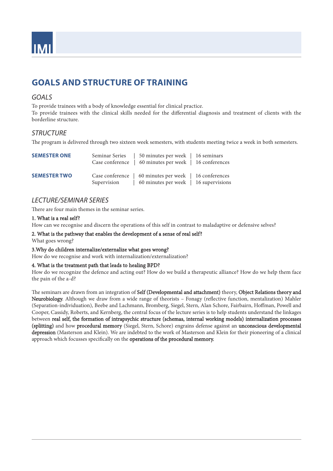

# **GOALS AND STRUCTURE OF TRAINING**

### *GOALS*

To provide trainees with a body of knowledge essential for clinical practice. To provide trainees with the clinical skills needed for the differential diagnosis and treatment of clients with the borderline structure.

### *STRUCTURE*

The program is delivered through two sixteen week semesters, with students meeting twice a week in both semesters.

| <b>SEMESTER ONE</b> |             | Seminar Series   50 minutes per week   16 seminars<br>Case conference   60 minutes per week   16 conferences |  |
|---------------------|-------------|--------------------------------------------------------------------------------------------------------------|--|
| <b>SEMESTER TWO</b> | Supervision | Case conference   60 minutes per week   16 conferences<br>60 minutes per week   16 supervisions              |  |

### *LECTURE/SEMINAR SERIES*

There are four main themes in the seminar series.

#### 1. What is a real self?

How can we recognise and discern the operations of this self in contrast to maladaptive or defensive selves?

#### 2. What is the pathway that enables the development of a sense of real self?

What goes wrong?

#### 3.Why do children internalize/externalize what goes wrong?

How do we recognise and work with internalization/externalization?

#### 4. What is the treatment path that leads to healing BPD?

How do we recognize the defence and acting out? How do we build a therapeutic alliance? How do we help them face the pain of the a-d?

The seminars are drawn from an integration of Self (Developmental and attachment) theory, Object Relations theory and Neurobiology. Although we draw from a wide range of theorists – Fonagy (reflective function, mentalization) Mahler (Separation-individuation), Beebe and Lachmann, Bromberg, Siegel, Stern, Alan Schore, Fairbairn, Hoffman, Powell and Cooper, Cassidy, Roberts, and Kernberg, the central focus of the lecture series is to help students understand the linkages between real self, the formation of intrapsychic structure (schemas, internal working models) internalization processes (splitting) and how procedural memory (Siegel, Stern, Schore) engrains defense against an unconscious developmental depression (Masterson and Klein). We are indebted to the work of Masterson and Klein for their pioneering of a clinical approach which focusses specifically on the operations of the procedural memory.